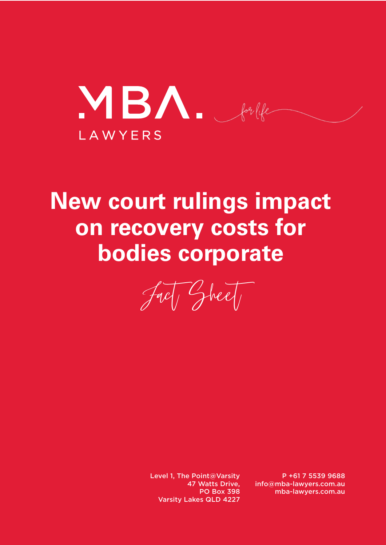MBA. forlife LAWYERS

# **New court rulings impact on recovery costs for bodies corporate**

Fact Sheet

Level 1, The Point@Varsity 47 Watts Drive, PO Box 398 Varsity Lakes QLD 4227

P +61 7 5539 9688 info@mba-lawyers.com.au mba-lawyers.com.au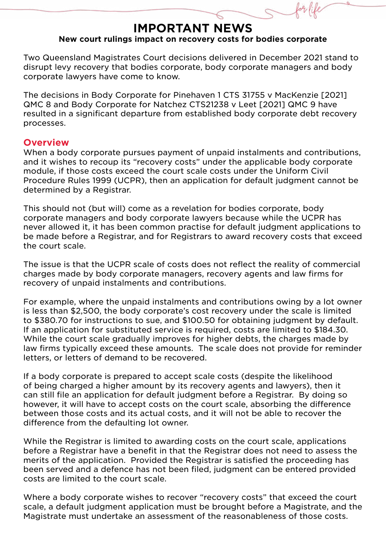## **IMPORTANT NEWS New court rulings impact on recovery costs for bodies corporate**

Two Queensland Magistrates Court decisions delivered in December 2021 stand to disrupt levy recovery that bodies corporate, body corporate managers and body corporate lawyers have come to know.

The decisions in Body Corporate for Pinehaven 1 CTS 31755 v MacKenzie [2021] QMC 8 and Body Corporate for Natchez CTS21238 v Leet [2021] QMC 9 have resulted in a significant departure from established body corporate debt recovery processes.

#### **Overview**

When a body corporate pursues payment of unpaid instalments and contributions, and it wishes to recoup its "recovery costs" under the applicable body corporate module, if those costs exceed the court scale costs under the Uniform Civil Procedure Rules 1999 (UCPR), then an application for default judgment cannot be determined by a Registrar.

This should not (but will) come as a revelation for bodies corporate, body corporate managers and body corporate lawyers because while the UCPR has never allowed it, it has been common practise for default judgment applications to be made before a Registrar, and for Registrars to award recovery costs that exceed the court scale.

The issue is that the UCPR scale of costs does not reflect the reality of commercial charges made by body corporate managers, recovery agents and law firms for recovery of unpaid instalments and contributions.

For example, where the unpaid instalments and contributions owing by a lot owner is less than \$2,500, the body corporate's cost recovery under the scale is limited to \$380.70 for instructions to sue, and \$100.50 for obtaining judgment by default. If an application for substituted service is required, costs are limited to \$184.30. While the court scale gradually improves for higher debts, the charges made by law firms typically exceed these amounts. The scale does not provide for reminder letters, or letters of demand to be recovered.

If a body corporate is prepared to accept scale costs (despite the likelihood of being charged a higher amount by its recovery agents and lawyers), then it can still file an application for default judgment before a Registrar. By doing so however, it will have to accept costs on the court scale, absorbing the difference between those costs and its actual costs, and it will not be able to recover the difference from the defaulting lot owner.

While the Registrar is limited to awarding costs on the court scale, applications before a Registrar have a benefit in that the Registrar does not need to assess the merits of the application. Provided the Registrar is satisfied the proceeding has been served and a defence has not been filed, judgment can be entered provided costs are limited to the court scale.

Where a body corporate wishes to recover "recovery costs" that exceed the court scale, a default judgment application must be brought before a Magistrate, and the Magistrate must undertake an assessment of the reasonableness of those costs.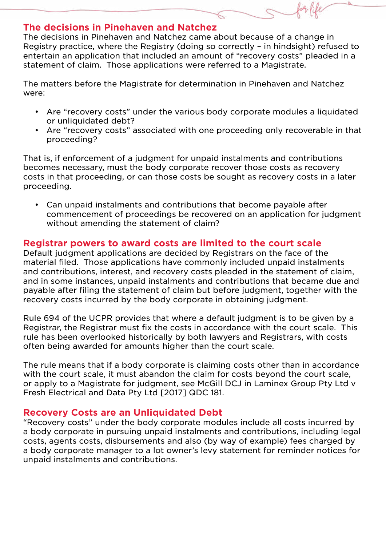### **The decisions in Pinehaven and Natchez**

The decisions in Pinehaven and Natchez came about because of a change in Registry practice, where the Registry (doing so correctly – in hindsight) refused to entertain an application that included an amount of "recovery costs" pleaded in a statement of claim. Those applications were referred to a Magistrate.

The matters before the Magistrate for determination in Pinehaven and Natchez were:

- Are "recovery costs" under the various body corporate modules a liquidated or unliquidated debt?
- Are "recovery costs" associated with one proceeding only recoverable in that proceeding?

That is, if enforcement of a judgment for unpaid instalments and contributions becomes necessary, must the body corporate recover those costs as recovery costs in that proceeding, or can those costs be sought as recovery costs in a later proceeding.

• Can unpaid instalments and contributions that become payable after commencement of proceedings be recovered on an application for judgment without amending the statement of claim?

# **Registrar powers to award costs are limited to the court scale**

Default judgment applications are decided by Registrars on the face of the material filed. Those applications have commonly included unpaid instalments and contributions, interest, and recovery costs pleaded in the statement of claim, and in some instances, unpaid instalments and contributions that became due and payable after filing the statement of claim but before judgment, together with the recovery costs incurred by the body corporate in obtaining judgment.

Rule 694 of the UCPR provides that where a default judgment is to be given by a Registrar, the Registrar must fix the costs in accordance with the court scale. This rule has been overlooked historically by both lawyers and Registrars, with costs often being awarded for amounts higher than the court scale.

The rule means that if a body corporate is claiming costs other than in accordance with the court scale, it must abandon the claim for costs beyond the court scale, or apply to a Magistrate for judgment, see McGill DCJ in Laminex Group Pty Ltd v Fresh Electrical and Data Pty Ltd [2017] QDC 181.

# **Recovery Costs are an Unliquidated Debt**

"Recovery costs" under the body corporate modules include all costs incurred by a body corporate in pursuing unpaid instalments and contributions, including legal costs, agents costs, disbursements and also (by way of example) fees charged by a body corporate manager to a lot owner's levy statement for reminder notices for unpaid instalments and contributions.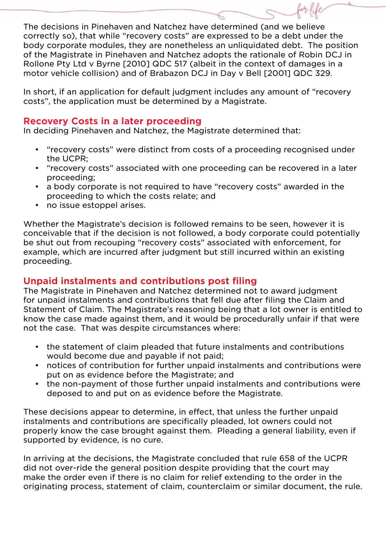The decisions in Pinehaven and Natchez have determined (and we believe correctly so), that while "recovery costs" are expressed to be a debt under the body corporate modules, they are nonetheless an unliquidated debt. The position of the Magistrate in Pinehaven and Natchez adopts the rationale of Robin DCJ in Rollone Pty Ltd v Byrne [2010] QDC 517 (albeit in the context of damages in a motor vehicle collision) and of Brabazon DCJ in Day v Bell [2001] QDC 329.

In short, if an application for default judgment includes any amount of "recovery costs", the application must be determined by a Magistrate.

# **Recovery Costs in a later proceeding**

In deciding Pinehaven and Natchez, the Magistrate determined that:

- "recovery costs" were distinct from costs of a proceeding recognised under the UCPR;
- "recovery costs" associated with one proceeding can be recovered in a later proceeding;
- a body corporate is not required to have "recovery costs" awarded in the proceeding to which the costs relate; and
- no issue estoppel arises.

Whether the Magistrate's decision is followed remains to be seen, however it is conceivable that if the decision is not followed, a body corporate could potentially be shut out from recouping "recovery costs" associated with enforcement, for example, which are incurred after judgment but still incurred within an existing proceeding.

# **Unpaid instalments and contributions post filing**

The Magistrate in Pinehaven and Natchez determined not to award judgment for unpaid instalments and contributions that fell due after filing the Claim and Statement of Claim. The Magistrate's reasoning being that a lot owner is entitled to know the case made against them, and it would be procedurally unfair if that were not the case. That was despite circumstances where:

- the statement of claim pleaded that future instalments and contributions would become due and payable if not paid;
- notices of contribution for further unpaid instalments and contributions were put on as evidence before the Magistrate; and
- the non-payment of those further unpaid instalments and contributions were deposed to and put on as evidence before the Magistrate.

These decisions appear to determine, in effect, that unless the further unpaid instalments and contributions are specifically pleaded, lot owners could not properly know the case brought against them. Pleading a general liability, even if supported by evidence, is no cure.

In arriving at the decisions, the Magistrate concluded that rule 658 of the UCPR did not over-ride the general position despite providing that the court may make the order even if there is no claim for relief extending to the order in the originating process, statement of claim, counterclaim or similar document, the rule.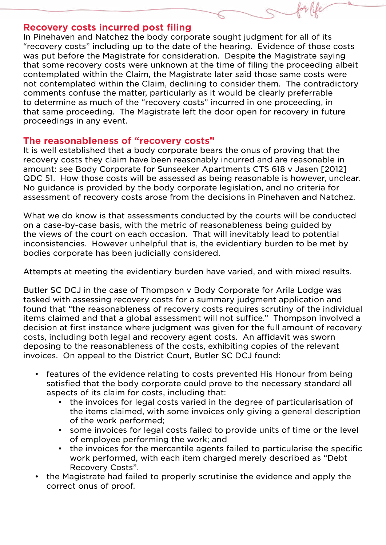#### **Recovery costs incurred post filing**

In Pinehaven and Natchez the body corporate sought judgment for all of its "recovery costs" including up to the date of the hearing. Evidence of those costs was put before the Magistrate for consideration. Despite the Magistrate saying that some recovery costs were unknown at the time of filing the proceeding albeit contemplated within the Claim, the Magistrate later said those same costs were not contemplated within the Claim, declining to consider them. The contradictory comments confuse the matter, particularly as it would be clearly preferrable to determine as much of the "recovery costs" incurred in one proceeding, in that same proceeding. The Magistrate left the door open for recovery in future proceedings in any event.

### **The reasonableness of "recovery costs"**

It is well established that a body corporate bears the onus of proving that the recovery costs they claim have been reasonably incurred and are reasonable in amount: see Body Corporate for Sunseeker Apartments CTS 618 v Jasen [2012] QDC 51. How those costs will be assessed as being reasonable is however, unclear. No guidance is provided by the body corporate legislation, and no criteria for assessment of recovery costs arose from the decisions in Pinehaven and Natchez.

What we do know is that assessments conducted by the courts will be conducted on a case-by-case basis, with the metric of reasonableness being guided by the views of the court on each occasion. That will inevitably lead to potential inconsistencies. However unhelpful that is, the evidentiary burden to be met by bodies corporate has been judicially considered.

Attempts at meeting the evidentiary burden have varied, and with mixed results.

Butler SC DCJ in the case of Thompson v Body Corporate for Arila Lodge was tasked with assessing recovery costs for a summary judgment application and found that "the reasonableness of recovery costs requires scrutiny of the individual items claimed and that a global assessment will not suffice." Thompson involved a decision at first instance where judgment was given for the full amount of recovery costs, including both legal and recovery agent costs. An affidavit was sworn deposing to the reasonableness of the costs, exhibiting copies of the relevant invoices. On appeal to the District Court, Butler SC DCJ found:

- features of the evidence relating to costs prevented His Honour from being satisfied that the body corporate could prove to the necessary standard all aspects of its claim for costs, including that:
	- the invoices for legal costs varied in the degree of particularisation of the items claimed, with some invoices only giving a general description of the work performed;
	- some invoices for legal costs failed to provide units of time or the level of employee performing the work; and
	- the invoices for the mercantile agents failed to particularise the specific work performed, with each item charged merely described as "Debt Recovery Costs".
- the Magistrate had failed to properly scrutinise the evidence and apply the correct onus of proof.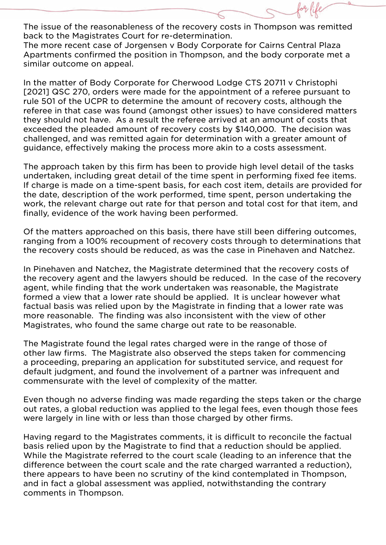The issue of the reasonableness of the recovery costs in Thompson was remitted back to the Magistrates Court for re-determination.

The more recent case of Jorgensen v Body Corporate for Cairns Central Plaza Apartments confirmed the position in Thompson, and the body corporate met a similar outcome on appeal.

In the matter of Body Corporate for Cherwood Lodge CTS 20711 v Christophi [2021] QSC 270, orders were made for the appointment of a referee pursuant to rule 501 of the UCPR to determine the amount of recovery costs, although the referee in that case was found (amongst other issues) to have considered matters they should not have. As a result the referee arrived at an amount of costs that exceeded the pleaded amount of recovery costs by \$140,000. The decision was challenged, and was remitted again for determination with a greater amount of guidance, effectively making the process more akin to a costs assessment.

The approach taken by this firm has been to provide high level detail of the tasks undertaken, including great detail of the time spent in performing fixed fee items. If charge is made on a time-spent basis, for each cost item, details are provided for the date, description of the work performed, time spent, person undertaking the work, the relevant charge out rate for that person and total cost for that item, and finally, evidence of the work having been performed.

Of the matters approached on this basis, there have still been differing outcomes, ranging from a 100% recoupment of recovery costs through to determinations that the recovery costs should be reduced, as was the case in Pinehaven and Natchez.

In Pinehaven and Natchez, the Magistrate determined that the recovery costs of the recovery agent and the lawyers should be reduced. In the case of the recovery agent, while finding that the work undertaken was reasonable, the Magistrate formed a view that a lower rate should be applied. It is unclear however what factual basis was relied upon by the Magistrate in finding that a lower rate was more reasonable. The finding was also inconsistent with the view of other Magistrates, who found the same charge out rate to be reasonable.

The Magistrate found the legal rates charged were in the range of those of other law firms. The Magistrate also observed the steps taken for commencing a proceeding, preparing an application for substituted service, and request for default judgment, and found the involvement of a partner was infrequent and commensurate with the level of complexity of the matter.

Even though no adverse finding was made regarding the steps taken or the charge out rates, a global reduction was applied to the legal fees, even though those fees were largely in line with or less than those charged by other firms.

Having regard to the Magistrates comments, it is difficult to reconcile the factual basis relied upon by the Magistrate to find that a reduction should be applied. While the Magistrate referred to the court scale (leading to an inference that the difference between the court scale and the rate charged warranted a reduction), there appears to have been no scrutiny of the kind contemplated in Thompson, and in fact a global assessment was applied, notwithstanding the contrary comments in Thompson.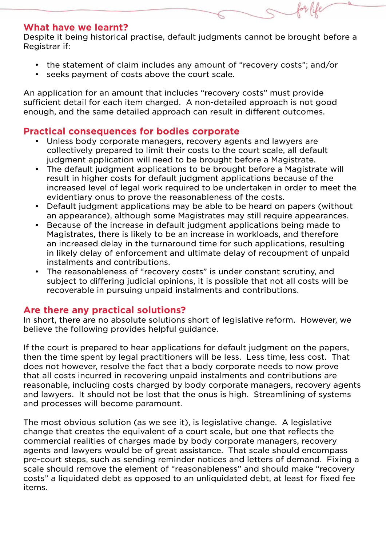### **What have we learnt?**

Despite it being historical practise, default judgments cannot be brought before a Registrar if:

- the statement of claim includes any amount of "recovery costs"; and/or
- seeks payment of costs above the court scale.

An application for an amount that includes "recovery costs" must provide sufficient detail for each item charged. A non-detailed approach is not good enough, and the same detailed approach can result in different outcomes.

# **Practical consequences for bodies corporate**

- Unless body corporate managers, recovery agents and lawyers are collectively prepared to limit their costs to the court scale, all default judgment application will need to be brought before a Magistrate.
- The default judgment applications to be brought before a Magistrate will result in higher costs for default judgment applications because of the increased level of legal work required to be undertaken in order to meet the evidentiary onus to prove the reasonableness of the costs.
- Default judgment applications may be able to be heard on papers (without an appearance), although some Magistrates may still require appearances.
- Because of the increase in default judgment applications being made to Magistrates, there is likely to be an increase in workloads, and therefore an increased delay in the turnaround time for such applications, resulting in likely delay of enforcement and ultimate delay of recoupment of unpaid instalments and contributions.
- The reasonableness of "recovery costs" is under constant scrutiny, and subject to differing judicial opinions, it is possible that not all costs will be recoverable in pursuing unpaid instalments and contributions.

### **Are there any practical solutions?**

In short, there are no absolute solutions short of legislative reform. However, we believe the following provides helpful guidance.

If the court is prepared to hear applications for default judgment on the papers, then the time spent by legal practitioners will be less. Less time, less cost. That does not however, resolve the fact that a body corporate needs to now prove that all costs incurred in recovering unpaid instalments and contributions are reasonable, including costs charged by body corporate managers, recovery agents and lawyers. It should not be lost that the onus is high. Streamlining of systems and processes will become paramount.

The most obvious solution (as we see it), is legislative change. A legislative change that creates the equivalent of a court scale, but one that reflects the commercial realities of charges made by body corporate managers, recovery agents and lawyers would be of great assistance. That scale should encompass pre-court steps, such as sending reminder notices and letters of demand. Fixing a scale should remove the element of "reasonableness" and should make "recovery costs" a liquidated debt as opposed to an unliquidated debt, at least for fixed fee items.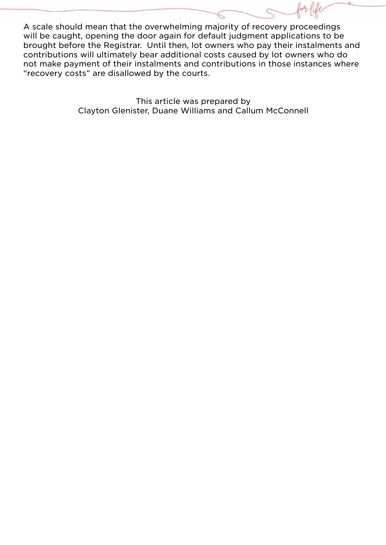A scale should mean that the overwhelming majority of recovery proceedings will be caught, opening the door again for default judgment applications to be brought before the Registrar. Until then, lot owners who pay their instalments and contributions will ultimately bear additional costs caused by lot owners who do not make payment of their instalments and contributions in those instances where "recovery costs" are disallowed by the courts.

> This article was prepared by Clayton Glenister, Duane Williams and Callum McConnell